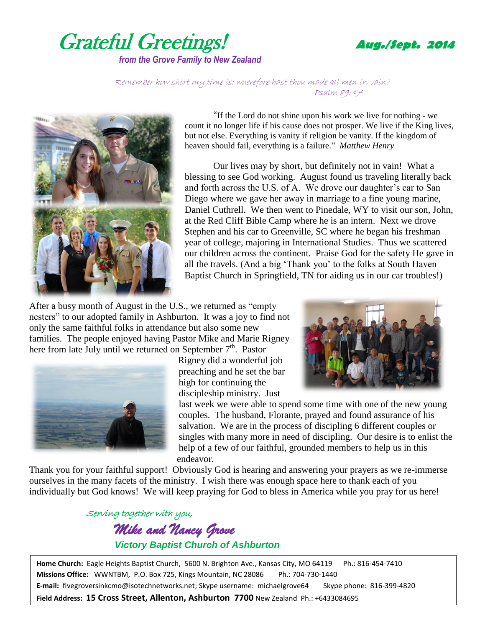

Remember how short my time is: wherefore hast thou made all men in vain? Psalm 89:47



"If the Lord do not shine upon his work we live for nothing - we count it no longer life if his cause does not prosper. We live if the King lives, but not else. Everything is vanity if religion be vanity. If the kingdom of heaven should fail, everything is a failure." *Matthew Henry*

Our lives may by short, but definitely not in vain! What a blessing to see God working. August found us traveling literally back and forth across the U.S. of A. We drove our daughter's car to San Diego where we gave her away in marriage to a fine young marine, Daniel Cuthrell. We then went to Pinedale, WY to visit our son, John, at the Red Cliff Bible Camp where he is an intern. Next we drove Stephen and his car to Greenville, SC where he began his freshman year of college, majoring in International Studies. Thus we scattered our children across the continent. Praise God for the safety He gave in all the travels. (And a big 'Thank you' to the folks at South Haven Baptist Church in Springfield, TN for aiding us in our car troubles!)

After a busy month of August in the U.S., we returned as "empty nesters" to our adopted family in Ashburton. It was a joy to find not only the same faithful folks in attendance but also some new families. The people enjoyed having Pastor Mike and Marie Rigney here from late July until we returned on September  $7<sup>th</sup>$ . Pastor



Rigney did a wonderful job preaching and he set the bar high for continuing the discipleship ministry. Just



last week we were able to spend some time with one of the new young couples. The husband, Florante, prayed and found assurance of his salvation. We are in the process of discipling 6 different couples or singles with many more in need of discipling. Our desire is to enlist the help of a few of our faithful, grounded members to help us in this endeavor.

Thank you for your faithful support! Obviously God is hearing and answering your prayers as we re-immerse ourselves in the many facets of the ministry. I wish there was enough space here to thank each of you individually but God knows! We will keep praying for God to bless in America while you pray for us here!

> Serving together with you, *Mike and Nancy Grove Victory Baptist Church of Ashburton*

**Home Church:** Eagle Heights Baptist Church, 5600 N. Brighton Ave., Kansas City, MO 64119 Ph.: 816-454-7410 **Missions Office:** WWNTBM, P.O. Box 725, Kings Mountain, NC 28086 Ph.: 704-730-1440 **E-mail:** fivegroversinkcmo@isotechnetworks.net; Skype username: michaelgrove64 Skype phone: 816-399-4820 **Field Address: 15 Cross Street, Allenton, Ashburton 7700** New Zealand Ph.: +6433084695